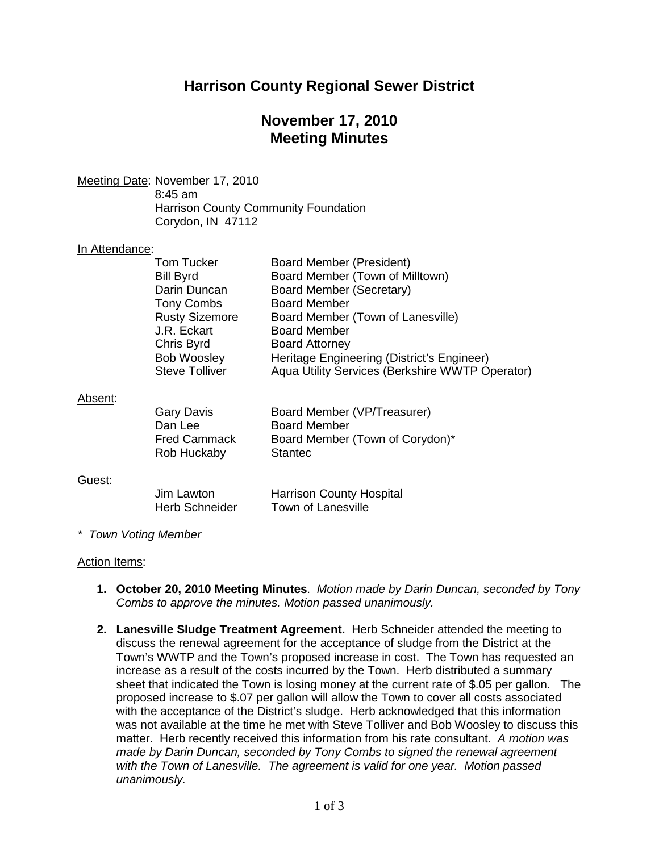# **Harrison County Regional Sewer District**

## **November 17, 2010 Meeting Minutes**

Meeting Date : November 17, 2010 8:45 am Harrison County Community Foundation Corydon, IN 47112

### In Attendance:

|         | Tom Tucker<br><b>Bill Byrd</b><br>Darin Duncan<br><b>Tony Combs</b><br><b>Rusty Sizemore</b><br>J.R. Eckart<br>Chris Byrd<br>Bob Woosley<br><b>Steve Tolliver</b> | Board Member (President)<br>Board Member (Town of Milltown)<br>Board Member (Secretary)<br><b>Board Member</b><br>Board Member (Town of Lanesville)<br><b>Board Member</b><br><b>Board Attorney</b><br>Heritage Engineering (District's Engineer)<br>Aqua Utility Services (Berkshire WWTP Operator) |
|---------|-------------------------------------------------------------------------------------------------------------------------------------------------------------------|------------------------------------------------------------------------------------------------------------------------------------------------------------------------------------------------------------------------------------------------------------------------------------------------------|
| Absent: | <b>Gary Davis</b><br>Dan Lee<br><b>Fred Cammack</b><br>Rob Huckaby                                                                                                | Board Member (VP/Treasurer)<br><b>Board Member</b><br>Board Member (Town of Corydon)*<br><b>Stantec</b>                                                                                                                                                                                              |
| Guest:  | Jim Lawton<br>Herb Schneider                                                                                                                                      | <b>Harrison County Hospital</b><br>Town of Lanesville                                                                                                                                                                                                                                                |

*\* Town Voting Member*

#### Action Items:

- **1. October 20, 2010 Meeting Minutes**. *Motion made by Darin Duncan, seconded by Tony Combs to approve the minutes. Motion passed unanimously.*
- **2. Lanesville Sludge Treatment Agreement.** Herb Schneider attended the meeting to discuss the renewal agreement for the acceptance of sludge from the District at the Town's WWTP and the Town's proposed increase in cost. The Town has requested an increase as a result of the costs incurred by the Town. Herb distributed a summary sheet that indicated the Town is losing money at the current rate of \$.05 per gallon. The proposed increase to \$.07 per gallon will allow the Town to cover all costs associated with the acceptance of the District's sludge. Herb acknowledged that this information was not available at the time he met with Steve Tolliver and Bob Woosley to discuss this matter. Herb recently received this information from his rate consultant. *A motion was made by Darin Duncan, seconded by Tony Combs to signed the renewal agreement with the Town of Lanesville. The agreement is valid for one year. Motion passed unanimously.*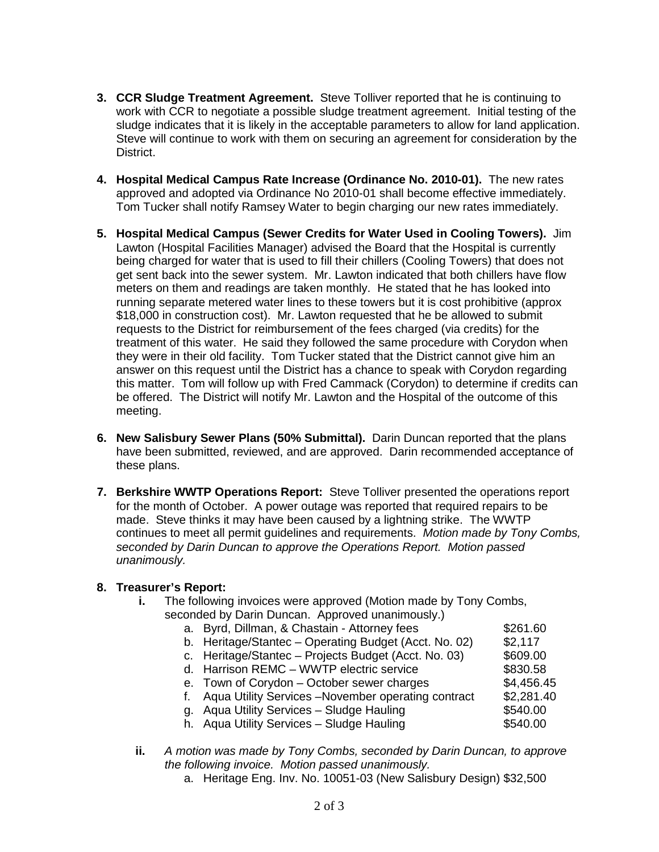- **3. CCR Sludge Treatment Agreement.** Steve Tolliver reported that he is continuing to work with CCR to negotiate a possible sludge treatment agreement. Initial testing of the sludge indicates that it is likely in the acceptable parameters to allow for land application. Steve will continue to work with them on securing an agreement for consideration by the District.
- **4. Hospital Medical Campus Rate Increase (Ordinance No. 2010-01).** The new rates approved and adopted via Ordinance No 2010-01 shall become effective immediately. Tom Tucker shall notify Ramsey Water to begin charging our new rates immediately.
- **5. Hospital Medical Campus (Sewer Credits for Water Used in Cooling Towers).** Jim Lawton (Hospital Facilities Manager) advised the Board that the Hospital is currently being charged for water that is used to fill their chillers (Cooling Towers) that does not get sent back into the sewer system. Mr. Lawton indicated that both chillers have flow meters on them and readings are taken monthly. He stated that he has looked into running separate metered water lines to these towers but it is cost prohibitive (approx \$18,000 in construction cost). Mr. Lawton requested that he be allowed to submit requests to the District for reimbursement of the fees charged (via credits) for the treatment of this water. He said they followed the same procedure with Corydon when they were in their old facility. Tom Tucker stated that the District cannot give him an answer on this request until the District has a chance to speak with Corydon regarding this matter. Tom will follow up with Fred Cammack (Corydon) to determine if credits can be offered. The District will notify Mr. Lawton and the Hospital of the outcome of this meeting.
- **6. New Salisbury Sewer Plans (50% Submittal).** Darin Duncan reported that the plans have been submitted, reviewed, and are approved. Darin recommended acceptance of these plans.
- **7. Berkshire WWTP Operations Report:** Steve Tolliver presented the operations report for the month of October. A power outage was reported that required repairs to be made. Steve thinks it may have been caused by a lightning strike. The WWTP continues to meet all permit guidelines and requirements. *Motion made by Tony Combs, seconded by Darin Duncan to approve the Operations Report. Motion passed unanimously.*

### **8. Treasurer's Report:**

- **i.** The following invoices were approved (Motion made by Tony Combs, seconded by Darin Duncan. Approved unanimously.)
	- a. Byrd, Dillman, & Chastain Attorney fees \$261.60
	- b. Heritage/Stantec Operating Budget (Acct. No. 02) \$2,117
	- c. Heritage/Stantec Projects Budget (Acct. No. 03) \$609.00
	- d. Harrison REMC WWTP electric service \$830.58
		-
	- e. Town of Corydon October sewer charges \$4,456.45 f. Aqua Utility Services - November operating contract \$2,281.40
	- g. Aqua Utility Services Sludge Hauling  $$540.00$
	- h. Aqua Utility Services Sludge Hauling **\$540.00**
- **ii.** *A motion was made by Tony Combs, seconded by Darin Duncan, to approve the following invoice. Motion passed unanimously.*
	- a. Heritage Eng. Inv. No. 10051-03 (New Salisbury Design) \$32,500